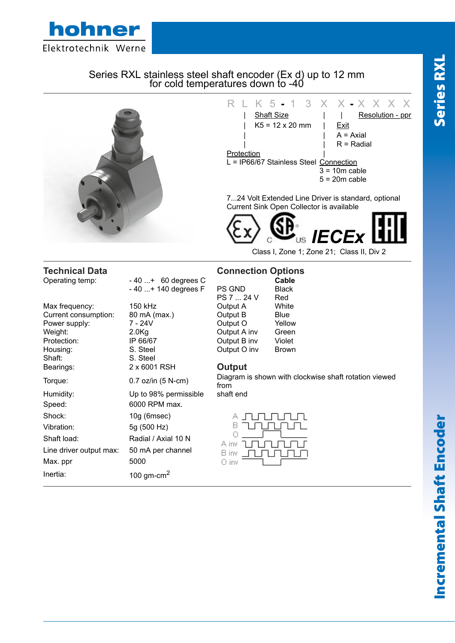

# Series RXL stainless steel shaft encoder (Ex d) up to 12 mm for cold temperatures down to 40



|                         |                        | PS 7  24 V                      | kea          |
|-------------------------|------------------------|---------------------------------|--------------|
| Max frequency:          | 150 kHz                | Output A                        | White        |
| Current consumption:    | 80 mA (max.)           | Output B                        | Blue         |
| Power supply:           | 7 - 24V                | Output O                        | Yellow       |
| Weight:                 | 2.0 <sub>g</sub>       | Output A inv                    | Green        |
| Protection:             | IP 66/67               | Output B inv                    | Violet       |
| Housing:                | S. Steel               | Output O inv                    | <b>Brown</b> |
| Shaft:                  | S. Steel               |                                 |              |
| Bearings:               | 2 x 6001 RSH           | Output                          |              |
| Torque:                 | 0.7 oz/in (5 N-cm)     | Diagram is shown with o<br>from |              |
| Humidity:               | Up to 98% permissible  | shaft end                       |              |
| Speed:                  | 6000 RPM max.          |                                 |              |
| Shock:                  | 10g (6msec)            |                                 |              |
| Vibration:              | 5g (500 Hz)            |                                 |              |
| Shaft load:             | Radial / Axial 10 N    | A inv                           |              |
| Line driver output max: | 50 mA per channel      | B inv                           |              |
| Max. ppr                | 5000                   | 0 inv                           |              |
| Inertia:                | 100 gm-cm <sup>2</sup> |                                 |              |
|                         |                        |                                 |              |

|              | Cable        |
|--------------|--------------|
| PS GND       | Black        |
| PS 7  24 V   | Red          |
| Output A     | White        |
| Output B     | Blue         |
| Output O     | Yellow       |
| Output A inv | Green        |
| Output B inv | Violet       |
| Output O inv | <b>Brown</b> |
|              |              |

### **Output**

Diagram is shown with clockwise shaft rotation viewed from



# Incremental Shaft Encoder Series RXL Incremental Shaft Encoder